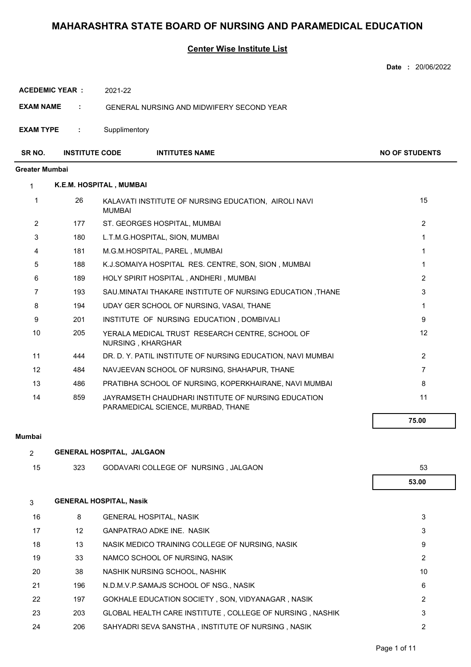#### **Center Wise Institute List**

|                       |                       |                                                                                           | <b>Date: 20/06/2022</b> |
|-----------------------|-----------------------|-------------------------------------------------------------------------------------------|-------------------------|
|                       | <b>ACEDEMIC YEAR:</b> | 2021-22                                                                                   |                         |
| <b>EXAM NAME</b>      | ÷                     | <b>GENERAL NURSING AND MIDWIFERY SECOND YEAR</b>                                          |                         |
| <b>EXAM TYPE</b>      | ÷                     | Supplimentory                                                                             |                         |
| SR NO.                | <b>INSTITUTE CODE</b> | <b>INTITUTES NAME</b>                                                                     | <b>NO OF STUDENTS</b>   |
| <b>Greater Mumbai</b> |                       |                                                                                           |                         |
| $\mathbf{1}$          |                       | K.E.M. HOSPITAL, MUMBAI                                                                   |                         |
| 1                     | 26                    | KALAVATI INSTITUTE OF NURSING EDUCATION, AIROLI NAVI<br><b>MUMBAI</b>                     | 15                      |
| $\overline{2}$        | 177                   | ST. GEORGES HOSPITAL, MUMBAI                                                              | $\overline{2}$          |
| 3                     | 180                   | L.T.M.G.HOSPITAL, SION, MUMBAI                                                            | $\mathbf{1}$            |
| 4                     | 181                   | M.G.M.HOSPITAL, PAREL, MUMBAI                                                             | $\mathbf{1}$            |
| 5                     | 188                   | K.J.SOMAIYA HOSPITAL RES. CENTRE, SON, SION, MUMBAI                                       | 1                       |
| 6                     | 189                   | HOLY SPIRIT HOSPITAL, ANDHERI, MUMBAI                                                     | $\overline{2}$          |
| 7                     | 193                   | SAU.MINATAI THAKARE INSTITUTE OF NURSING EDUCATION, THANE                                 | 3                       |
| 8                     | 194                   | UDAY GER SCHOOL OF NURSING, VASAI, THANE                                                  | $\mathbf 1$             |
| 9                     | 201                   | INSTITUTE OF NURSING EDUCATION, DOMBIVALI                                                 | 9                       |
| 10                    | 205                   | YERALA MEDICAL TRUST RESEARCH CENTRE, SCHOOL OF<br>NURSING, KHARGHAR                      | 12                      |
| 11                    | 444                   | DR. D. Y. PATIL INSTITUTE OF NURSING EDUCATION, NAVI MUMBAI                               | $\overline{2}$          |
| 12                    | 484                   | NAVJEEVAN SCHOOL OF NURSING, SHAHAPUR, THANE                                              | $\overline{7}$          |
| 13                    | 486                   | PRATIBHA SCHOOL OF NURSING, KOPERKHAIRANE, NAVI MUMBAI                                    | 8                       |
| 14                    | 859                   | JAYRAMSETH CHAUDHARI INSTITUTE OF NURSING EDUCATION<br>PARAMEDICAL SCIENCE, MURBAD, THANE | 11                      |
|                       |                       |                                                                                           | 75.00                   |
| Mumbai                |                       |                                                                                           |                         |
| $\overline{2}$        |                       | <b>GENERAL HOSPITAL, JALGAON</b>                                                          |                         |
| 15                    | 323                   | GODAVARI COLLEGE OF NURSING, JALGAON                                                      | 53                      |
|                       |                       |                                                                                           | 53.00                   |
| 3                     |                       | <b>GENERAL HOSPITAL, Nasik</b>                                                            |                         |
| 16                    | 8                     | <b>GENERAL HOSPITAL, NASIK</b>                                                            | 3                       |
| 17                    | 12                    | <b>GANPATRAO ADKE INE. NASIK</b>                                                          | 3                       |
| 18                    | 13                    | NASIK MEDICO TRAINING COLLEGE OF NURSING, NASIK                                           | 9                       |
| 19                    | 33                    | NAMCO SCHOOL OF NURSING, NASIK                                                            | $\overline{2}$          |

20 38 NASHIK NURSING SCHOOL, NASHIK 10 10

- 21 196 N.D.M.V.P.SAMAJS SCHOOL OF NSG., NASIK 1996 1997 1998
- 22 197 GOKHALE EDUCATION SOCIETY , SON, VIDYANAGAR , NASIK 2 23 203 GLOBAL HEALTH CARE INSTITUTE , COLLEGE OF NURSING , NASHIK 3 24 206 SAHYADRI SEVA SANSTHA , INSTITUTE OF NURSING , NASIK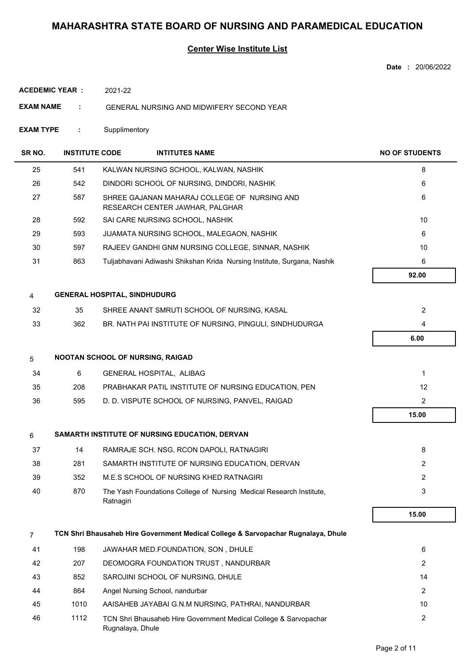### **Center Wise Institute List**

**Date :** 20/06/2022

**ACEDEMIC YEAR :** 2021-22

- **EXAM NAME :** GENERAL NURSING AND MIDWIFERY SECOND YEAR
- **EXAM TYPE :** Supplimentory

| SR NO.         | <b>INSTITUTE CODE</b> |                                         | <b>INTITUTES NAME</b>                                                             | <b>NO OF STUDENTS</b> |
|----------------|-----------------------|-----------------------------------------|-----------------------------------------------------------------------------------|-----------------------|
| 25             | 541                   |                                         | KALWAN NURSING SCHOOL, KALWAN, NASHIK                                             | 8                     |
| 26             | 542                   |                                         | DINDORI SCHOOL OF NURSING, DINDORI, NASHIK                                        | 6                     |
| 27             | 587                   |                                         | SHREE GAJANAN MAHARAJ COLLEGE OF NURSING AND<br>RESEARCH CENTER JAWHAR, PALGHAR   | 6                     |
| 28             | 592                   |                                         | SAI CARE NURSING SCHOOL, NASHIK                                                   | 10                    |
| 29             | 593                   |                                         | JIJAMATA NURSING SCHOOL, MALEGAON, NASHIK                                         | 6                     |
| 30             | 597                   |                                         | RAJEEV GANDHI GNM NURSING COLLEGE, SINNAR, NASHIK                                 | 10                    |
| 31             | 863                   |                                         | Tuljabhavani Adiwashi Shikshan Krida Nursing Institute, Surgana, Nashik           | 6                     |
|                |                       |                                         |                                                                                   | 92.00                 |
| 4              |                       | <b>GENERAL HOSPITAL, SINDHUDURG</b>     |                                                                                   |                       |
| 32             | 35                    |                                         | SHREE ANANT SMRUTI SCHOOL OF NURSING, KASAL                                       | $\overline{2}$        |
| 33             | 362                   |                                         | BR. NATH PAI INSTITUTE OF NURSING, PINGULI, SINDHUDURGA                           | 4                     |
|                |                       |                                         |                                                                                   | 6.00                  |
| 5              |                       | <b>NOOTAN SCHOOL OF NURSING, RAIGAD</b> |                                                                                   |                       |
| 34             | 6                     | GENERAL HOSPITAL, ALIBAG                |                                                                                   | 1                     |
| 35             | 208                   |                                         | PRABHAKAR PATIL INSTITUTE OF NURSING EDUCATION, PEN                               | 12                    |
| 36             | 595                   |                                         | D. D. VISPUTE SCHOOL OF NURSING, PANVEL, RAIGAD                                   | $\overline{2}$        |
|                |                       |                                         |                                                                                   | 15.00                 |
| 6              |                       |                                         | SAMARTH INSTITUTE OF NURSING EDUCATION, DERVAN                                    |                       |
| 37             | 14                    |                                         | RAMRAJE SCH. NSG, RCON DAPOLI, RATNAGIRI                                          | 8                     |
| 38             | 281                   |                                         | SAMARTH INSTITUTE OF NURSING EDUCATION, DERVAN                                    | $\overline{2}$        |
| 39             | 352                   |                                         | M.E.S SCHOOL OF NURSING KHED RATNAGIRI                                            | 2                     |
| 40             | 870                   | Ratnagiri                               | The Yash Foundations College of Nursing Medical Research Institute,               | 3                     |
|                |                       |                                         |                                                                                   | 15.00                 |
| $\overline{7}$ |                       |                                         | TCN Shri Bhausaheb Hire Government Medical College & Sarvopachar Rugnalaya, Dhule |                       |
| 41             | 198                   |                                         | JAWAHAR MED.FOUNDATION, SON, DHULE                                                | 6                     |
| 42             | 207                   |                                         | DEOMOGRA FOUNDATION TRUST, NANDURBAR                                              | 2                     |
| 43             | 852                   |                                         | SAROJINI SCHOOL OF NURSING, DHULE                                                 | 14                    |
| 44             | 864                   | Angel Nursing School, nandurbar         |                                                                                   | $\overline{2}$        |
| 45             | 1010                  |                                         | AAISAHEB JAYABAI G.N.M NURSING, PATHRAI, NANDURBAR                                | 10                    |
| 46             | 1112                  | Rugnalaya, Dhule                        | TCN Shri Bhausaheb Hire Government Medical College & Sarvopachar                  | 2                     |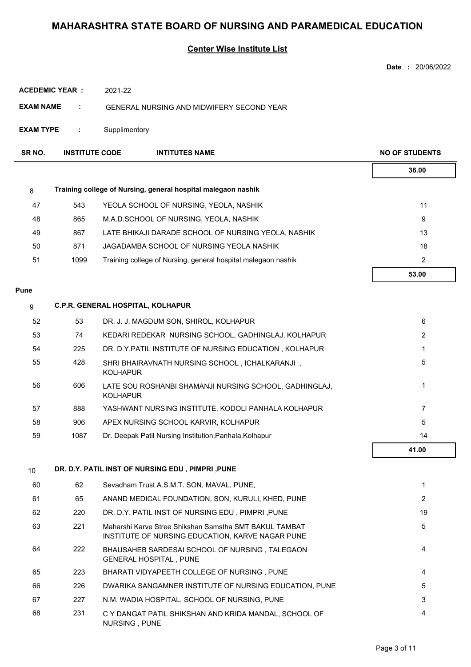### **Center Wise Institute List**

**Date :** 20/06/2022

| <b>ACEDEMIC YEAR</b><br>2021-22 |  |
|---------------------------------|--|
|---------------------------------|--|

- **EXAM NAME :** GENERAL NURSING AND MIDWIFERY SECOND YEAR
- **EXAM TYPE :** Supplimentory

| SR NO. | <b>INSTITUTE CODE</b> | <b>INTITUTES NAME</b>                                         | <b>NO OF STUDENTS</b> |
|--------|-----------------------|---------------------------------------------------------------|-----------------------|
|        |                       |                                                               | 36.00                 |
| 8      |                       | Training college of Nursing, general hospital malegaon nashik |                       |
| 47     | 543                   | YEOLA SCHOOL OF NURSING, YEOLA, NASHIK                        | 11                    |
| 48     | 865                   | M.A.D.SCHOOL OF NURSING, YEOLA, NASHIK                        | 9                     |
| 49     | 867                   | LATE BHIKAJI DARADE SCHOOL OF NURSING YEOLA, NASHIK           | 13                    |
| 50     | 871                   | JAGADAMBA SCHOOL OF NURSING YEOLA NASHIK                      | 18                    |
| 51     | 1099                  | Training college of Nursing, general hospital malegaon nashik | $\overline{2}$        |
|        |                       |                                                               | 53.00                 |

#### **Pune**

| 9  | <b>C.P.R. GENERAL HOSPITAL, KOLHAPUR</b> |                                                                           |       |  |  |
|----|------------------------------------------|---------------------------------------------------------------------------|-------|--|--|
| 52 | 53                                       | DR. J. J. MAGDUM SON, SHIROL, KOLHAPUR                                    | 6     |  |  |
| 53 | 74                                       | KEDARI REDEKAR NURSING SCHOOL, GADHINGLAJ, KOLHAPUR                       | 2     |  |  |
| 54 | 225                                      | DR. D.Y. PATIL INSTITUTE OF NURSING EDUCATION, KOLHAPUR                   |       |  |  |
| 55 | 428                                      | SHRI BHAIRAVNATH NURSING SCHOOL, ICHALKARANJI,<br><b>KOLHAPUR</b>         | 5     |  |  |
| 56 | 606                                      | LATE SOU ROSHANBI SHAMANJI NURSING SCHOOL, GADHINGLAJ,<br><b>KOLHAPUR</b> |       |  |  |
| 57 | 888                                      | YASHWANT NURSING INSTITUTE, KODOLI PANHALA KOLHAPUR                       |       |  |  |
| 58 | 906                                      | APEX NURSING SCHOOL KARVIR. KOLHAPUR                                      | 5     |  |  |
| 59 | 1087                                     | Dr. Deepak Patil Nursing Institution, Panhala, Kolhapur                   | 14    |  |  |
|    |                                          |                                                                           | 41.00 |  |  |

### 10 **DR. D.Y. PATIL INST OF NURSING EDU , PIMPRI ,PUNE**

| 60 | 62  | Sevadham Trust A.S.M.T. SON, MAVAL, PUNE,                                                                  | $\mathbf 1$ |
|----|-----|------------------------------------------------------------------------------------------------------------|-------------|
| 61 | 65  | ANAND MEDICAL FOUNDATION, SON, KURULI, KHED, PUNE                                                          | 2           |
| 62 | 220 | DR. D.Y. PATIL INST OF NURSING EDU, PIMPRI, PUNE                                                           | 19          |
| 63 | 221 | Maharshi Karve Stree Shikshan Samstha SMT BAKUL TAMBAT<br>INSTITUTE OF NURSING EDUCATION, KARVE NAGAR PUNE | 5           |
| 64 | 222 | BHAUSAHEB SARDESAI SCHOOL OF NURSING . TALEGAON<br><b>GENERAL HOSPITAL, PUNE</b>                           | 4           |
| 65 | 223 | BHARATI VIDYAPEETH COLLEGE OF NURSING, PUNE                                                                | 4           |
| 66 | 226 | DWARIKA SANGAMNER INSTITUTE OF NURSING EDUCATION, PUNE                                                     | 5           |
| 67 | 227 | N.M. WADIA HOSPITAL, SCHOOL OF NURSING, PUNE                                                               | 3           |
| 68 | 231 | C Y DANGAT PATIL SHIKSHAN AND KRIDA MANDAL. SCHOOL OF<br>NURSING, PUNE                                     | 4           |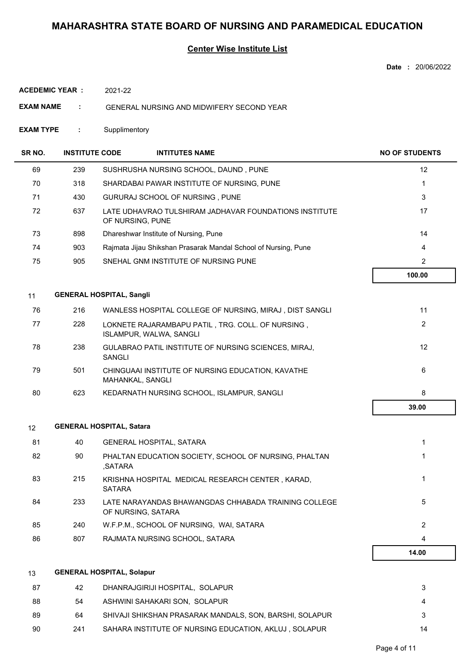#### **Center Wise Institute List**

**Date :** 20/06/2022

**ACEDEMIC YEAR :** 2021-22

- **EXAM NAME :** GENERAL NURSING AND MIDWIFERY SECOND YEAR
- **EXAM TYPE :** Supplimentory

| SR NO. | <b>INSTITUTE CODE</b> | <b>INTITUTES NAME</b>                                                        | <b>NO OF STUDENTS</b> |
|--------|-----------------------|------------------------------------------------------------------------------|-----------------------|
| 69     | 239                   | SUSHRUSHA NURSING SCHOOL, DAUND, PUNE                                        | 12                    |
| 70     | 318                   | SHARDABAI PAWAR INSTITUTE OF NURSING, PUNE                                   | $\mathbf{1}$          |
| 71     | 430                   | GURURAJ SCHOOL OF NURSING, PUNE                                              | 3                     |
| 72     | 637                   | LATE UDHAVRAO TULSHIRAM JADHAVAR FOUNDATIONS INSTITUTE<br>OF NURSING, PUNE   | 17                    |
| 73     | 898                   | Dhareshwar Institute of Nursing, Pune                                        | 14                    |
| 74     | 903                   | Rajmata Jijau Shikshan Prasarak Mandal School of Nursing, Pune               | 4                     |
| 75     | 905                   | SNEHAL GNM INSTITUTE OF NURSING PUNE                                         | $\overline{2}$        |
|        |                       |                                                                              | 100.00                |
| 11     |                       | <b>GENERAL HOSPITAL, Sangli</b>                                              |                       |
| 76     | 216                   | WANLESS HOSPITAL COLLEGE OF NURSING, MIRAJ, DIST SANGLI                      | 11                    |
| 77     | 228                   | LOKNETE RAJARAMBAPU PATIL, TRG. COLL. OF NURSING,<br>ISLAMPUR, WALWA, SANGLI | $\overline{2}$        |
| 78     | 238                   | GULABRAO PATIL INSTITUTE OF NURSING SCIENCES, MIRAJ,<br>SANGLI               | 12                    |
| 79     | 501                   | CHINGUAAI INSTITUTE OF NURSING EDUCATION, KAVATHE<br>MAHANKAL, SANGLI        | 6                     |
| 80     | 623                   | KEDARNATH NURSING SCHOOL, ISLAMPUR, SANGLI                                   | 8                     |
|        |                       |                                                                              | 39.00                 |
| 12     |                       | <b>GENERAL HOSPITAL, Satara</b>                                              |                       |
| 81     | 40                    | <b>GENERAL HOSPITAL, SATARA</b>                                              | 1                     |
| 82     | 90                    | PHALTAN EDUCATION SOCIETY, SCHOOL OF NURSING, PHALTAN<br>,SATARA             | $\mathbf{1}$          |
| 83     | 215                   | KRISHNA HOSPITAL MEDICAL RESEARCH CENTER, KARAD,<br><b>SATARA</b>            | 1                     |
| 84     | 233                   | LATE NARAYANDAS BHAWANGDAS CHHABADA TRAINING COLLEGE<br>OF NURSING, SATARA   | 5                     |
| 85     | 240                   | W.F.P.M., SCHOOL OF NURSING, WAI, SATARA                                     | $\overline{2}$        |
| 86     | 807                   | RAJMATA NURSING SCHOOL, SATARA                                               | 4                     |
|        |                       |                                                                              | 14.00                 |
| 13     |                       | <b>GENERAL HOSPITAL, Solapur</b>                                             |                       |

| -87 | 42  | DHANRAJGIRIJI HOSPITAL. SOLAPUR                         |    |
|-----|-----|---------------------------------------------------------|----|
| 88  | -54 | ASHWINI SAHAKARI SON. SOLAPUR                           |    |
| -89 | 64  | SHIVAJI SHIKSHAN PRASARAK MANDALS. SON. BARSHI, SOLAPUR |    |
| -90 | 241 | SAHARA INSTITUTE OF NURSING EDUCATION, AKLUJ, SOLAPUR   | 14 |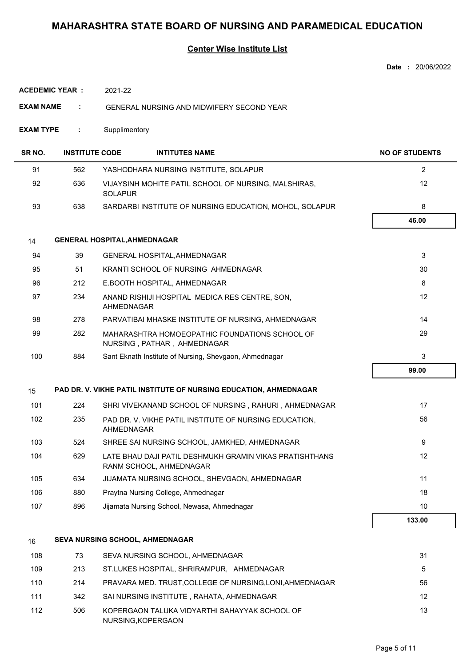### **Center Wise Institute List**

|                       |                       |                                                                                    | Date: 20/06/2022      |
|-----------------------|-----------------------|------------------------------------------------------------------------------------|-----------------------|
| <b>ACEDEMIC YEAR:</b> |                       | 2021-22                                                                            |                       |
| <b>EXAM NAME</b>      | ÷                     | <b>GENERAL NURSING AND MIDWIFERY SECOND YEAR</b>                                   |                       |
| <b>EXAM TYPE</b>      | ÷                     | Supplimentory                                                                      |                       |
| SR NO.                | <b>INSTITUTE CODE</b> | <b>INTITUTES NAME</b>                                                              | <b>NO OF STUDENTS</b> |
| 91                    | 562                   | YASHODHARA NURSING INSTITUTE, SOLAPUR                                              | $\overline{2}$        |
| 92                    | 636                   | VIJAYSINH MOHITE PATIL SCHOOL OF NURSING, MALSHIRAS,<br><b>SOLAPUR</b>             | 12                    |
| 93                    | 638                   | SARDARBI INSTITUTE OF NURSING EDUCATION, MOHOL, SOLAPUR                            | 8                     |
|                       |                       |                                                                                    | 46.00                 |
| 14                    |                       | <b>GENERAL HOSPITAL, AHMEDNAGAR</b>                                                |                       |
| 94                    | 39                    | GENERAL HOSPITAL, AHMEDNAGAR                                                       | 3                     |
| 95                    | 51                    | KRANTI SCHOOL OF NURSING AHMEDNAGAR                                                | 30                    |
| 96                    | 212                   | E.BOOTH HOSPITAL, AHMEDNAGAR                                                       | 8                     |
| 97                    | 234                   | ANAND RISHIJI HOSPITAL MEDICA RES CENTRE, SON,<br>AHMEDNAGAR                       | 12                    |
| 98                    | 278                   | PARVATIBAI MHASKE INSTITUTE OF NURSING, AHMEDNAGAR                                 | 14                    |
| 99                    | 282                   | MAHARASHTRA HOMOEOPATHIC FOUNDATIONS SCHOOL OF<br>NURSING, PATHAR, AHMEDNAGAR      | 29                    |
| 100                   | 884                   | Sant Eknath Institute of Nursing, Shevgaon, Ahmednagar                             | 3                     |
|                       |                       |                                                                                    | 99.00                 |
| 15                    |                       | PAD DR. V. VIKHE PATIL INSTITUTE OF NURSING EDUCATION, AHMEDNAGAR                  |                       |
| 101                   | 224                   | SHRI VIVEKANAND SCHOOL OF NURSING, RAHURI, AHMEDNAGAR                              | 17                    |
| 102                   | 235                   | PAD DR. V. VIKHE PATIL INSTITUTE OF NURSING EDUCATION,<br>AHMEDNAGAR               | 56                    |
| 103                   | 524                   | SHREE SAI NURSING SCHOOL, JAMKHED, AHMEDNAGAR                                      | 9                     |
| 104                   | 629                   | LATE BHAU DAJI PATIL DESHMUKH GRAMIN VIKAS PRATISHTHANS<br>RANM SCHOOL, AHMEDNAGAR | 12                    |
| 105                   | 634                   | JIJAMATA NURSING SCHOOL, SHEVGAON, AHMEDNAGAR                                      | 11                    |
| 106                   | 880                   | Praytna Nursing College, Ahmednagar                                                | 18                    |
| 107                   | 896                   | Jijamata Nursing School, Newasa, Ahmednagar                                        | 10                    |
|                       |                       |                                                                                    | 133.00                |
| 16                    |                       | SEVA NURSING SCHOOL, AHMEDNAGAR                                                    |                       |
| 108                   | 73                    | SEVA NURSING SCHOOL, AHMEDNAGAR                                                    | 31                    |
| 109                   | 213                   | ST.LUKES HOSPITAL, SHRIRAMPUR, AHMEDNAGAR                                          | 5                     |
| 110                   | 214                   | PRAVARA MED. TRUST, COLLEGE OF NURSING, LONI, AHMEDNAGAR                           | 56                    |
| 111                   | 342                   | SAI NURSING INSTITUTE, RAHATA, AHMEDNAGAR                                          | 12                    |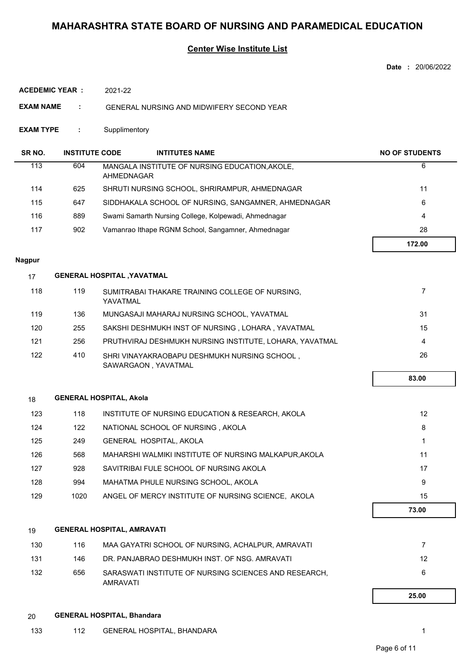#### **Center Wise Institute List**

**Date :** 20/06/2022

**ACEDEMIC YEAR :** 2021-22

**EXAM NAME :** GENERAL NURSING AND MIDWIFERY SECOND YEAR

**EXAM TYPE :** Supplimentory

| SR NO. | <b>INSTITUTE CODE</b> | <b>INTITUTES NAME</b>                                        | <b>NO OF STUDENTS</b> |
|--------|-----------------------|--------------------------------------------------------------|-----------------------|
| 113    | 604                   | MANGALA INSTITUTE OF NURSING EDUCATION, AKOLE,<br>AHMEDNAGAR | 6                     |
| 114    | 625                   | SHRUTI NURSING SCHOOL, SHRIRAMPUR, AHMEDNAGAR                | 11                    |
| 115    | 647                   | SIDDHAKALA SCHOOL OF NURSING, SANGAMNER, AHMEDNAGAR          | 6                     |
| 116    | 889                   | Swami Samarth Nursing College, Kolpewadi, Ahmednagar         | 4                     |
| 117    | 902                   | Vamanrao Ithape RGNM School, Sangamner, Ahmednagar           | 28                    |
|        |                       |                                                              | 172.00                |

#### **Nagpur**

| 17  | <b>GENERAL HOSPITAL , YAVATMAL</b> |                                                                     |     |
|-----|------------------------------------|---------------------------------------------------------------------|-----|
| 118 | 119                                | SUMITRABAI THAKARE TRAINING COLLEGE OF NURSING.<br>YAVATMAL         |     |
| 119 | 136                                | MUNGASAJI MAHARAJ NURSING SCHOOL, YAVATMAL                          | -31 |
| 120 | 255                                | SAKSHI DESHMUKH INST OF NURSING, LOHARA, YAVATMAL                   | 15  |
| 121 | 256                                | PRUTHVIRAJ DESHMUKH NURSING INSTITUTE, LOHARA, YAVATMAL             | 4   |
| 122 | 410                                | SHRI VINAYAKRAOBAPU DESHMUKH NURSING SCHOOL,<br>SAWARGAON, YAVATMAL | 26  |

### 18 **GENERAL HOSPITAL, Akola**

| 123 | 118  | INSTITUTE OF NURSING EDUCATION & RESEARCH, AKOLA      | 12    |
|-----|------|-------------------------------------------------------|-------|
| 124 | 122  | NATIONAL SCHOOL OF NURSING, AKOLA                     | 8     |
| 125 | 249  | GENERAL HOSPITAL, AKOLA                               |       |
| 126 | 568  | MAHARSHI WALMIKI INSTITUTE OF NURSING MALKAPUR, AKOLA | 11    |
| 127 | 928  | SAVITRIBAI FULE SCHOOL OF NURSING AKOLA               | 17    |
| 128 | 994  | MAHATMA PHULE NURSING SCHOOL, AKOLA                   | 9     |
| 129 | 1020 | ANGEL OF MERCY INSTITUTE OF NURSING SCIENCE, AKOLA    | 15    |
|     |      |                                                       | 73.00 |

#### 19 **GENERAL HOSPITAL, AMRAVATI**

|     |     |                                                                   | 25.00 |
|-----|-----|-------------------------------------------------------------------|-------|
| 132 | 656 | SARASWATI INSTITUTE OF NURSING SCIENCES AND RESEARCH.<br>AMRAVATI | 6     |
| 131 | 146 | DR. PANJABRAO DESHMUKH INST. OF NSG. AMRAVATI                     | 12    |
| 130 | 116 | MAA GAYATRI SCHOOL OF NURSING. ACHALPUR. AMRAVATI                 |       |

#### 20 **GENERAL HOSPITAL, Bhandara**

 **83.00**

ı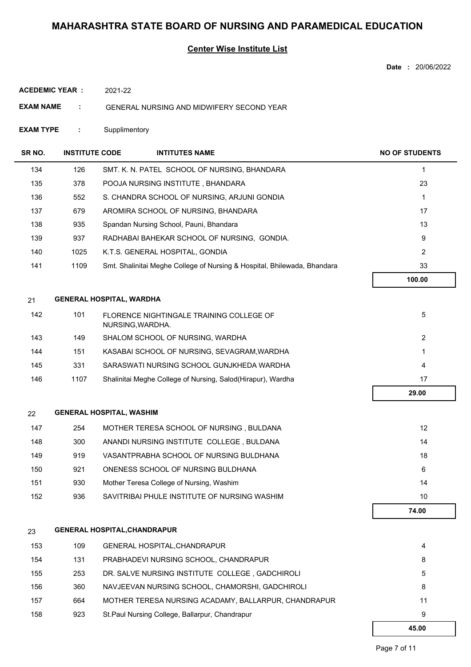### **Center Wise Institute List**

**Date :** 20/06/2022

**ACEDEMIC YEAR :** 2021-22

**EXAM NAME :** GENERAL NURSING AND MIDWIFERY SECOND YEAR

**EXAM TYPE :** Supplimentory

| SR NO. | <b>INSTITUTE CODE</b> | <b>INTITUTES NAME</b>                                                    | <b>NO OF STUDENTS</b> |
|--------|-----------------------|--------------------------------------------------------------------------|-----------------------|
| 134    | 126                   | SMT. K. N. PATEL SCHOOL OF NURSING, BHANDARA                             | 1                     |
| 135    | 378                   | POOJA NURSING INSTITUTE, BHANDARA                                        | 23                    |
| 136    | 552                   | S. CHANDRA SCHOOL OF NURSING, ARJUNI GONDIA                              | $\mathbf{1}$          |
| 137    | 679                   | AROMIRA SCHOOL OF NURSING, BHANDARA                                      | 17                    |
| 138    | 935                   | Spandan Nursing School, Pauni, Bhandara                                  | 13                    |
| 139    | 937                   | RADHABAI BAHEKAR SCHOOL OF NURSING, GONDIA.                              | 9                     |
| 140    | 1025                  | K.T.S. GENERAL HOSPITAL, GONDIA                                          | 2                     |
| 141    | 1109                  | Smt. Shalinitai Meghe College of Nursing & Hospital, Bhilewada, Bhandara | 33                    |
|        |                       |                                                                          | 100.00                |
| 21     |                       | <b>GENERAL HOSPITAL, WARDHA</b>                                          |                       |
| 142    | 101                   | FLORENCE NIGHTINGALE TRAINING COLLEGE OF<br>NURSING, WARDHA.             | 5                     |
| 143    | 149                   | SHALOM SCHOOL OF NURSING, WARDHA                                         | 2                     |
| 144    | 151                   | KASABAI SCHOOL OF NURSING, SEVAGRAM, WARDHA                              | 1                     |
| 145    | 331                   | SARASWATI NURSING SCHOOL GUNJKHEDA WARDHA                                | 4                     |
| 146    | 1107                  | Shalinitai Meghe College of Nursing, Salod(Hirapur), Wardha              | 17                    |
|        |                       |                                                                          | 29.00                 |
| 22     |                       | <b>GENERAL HOSPITAL, WASHIM</b>                                          |                       |
| 147    | 254                   | MOTHER TERESA SCHOOL OF NURSING, BULDANA                                 | 12                    |
| 148    | 300                   | ANANDI NURSING INSTITUTE COLLEGE, BULDANA                                | 14                    |
| 149    | 919                   | VASANTPRABHA SCHOOL OF NURSING BULDHANA                                  | 18                    |
| 150    | 921                   | ONENESS SCHOOL OF NURSING BULDHANA                                       | 6                     |
| 151    | 930                   | Mother Teresa College of Nursing, Washim                                 | 14                    |
| 152    | 936                   | SAVITRIBAI PHULE INSTITUTE OF NURSING WASHIM                             | 10                    |
|        |                       |                                                                          | 74.00                 |
| 23     |                       | <b>GENERAL HOSPITAL, CHANDRAPUR</b>                                      |                       |
| 153    | 109                   | GENERAL HOSPITAL, CHANDRAPUR                                             | 4                     |
| 154    | 131                   | PRABHADEVI NURSING SCHOOL, CHANDRAPUR                                    | 8                     |
| 155    | 253                   | DR. SALVE NURSING INSTITUTE COLLEGE, GADCHIROLI                          | 5                     |
| 156    | 360                   | NAVJEEVAN NURSING SCHOOL, CHAMORSHI, GADCHIROLI                          | 8                     |

| 157 | 664 | MOTHER TERESA NURSING ACADAMY, BALLARPUR, CHANDRAPUR |  |
|-----|-----|------------------------------------------------------|--|
| 158 | 923 | St.Paul Nursing College, Ballarpur, Chandrapur       |  |

 **45.00**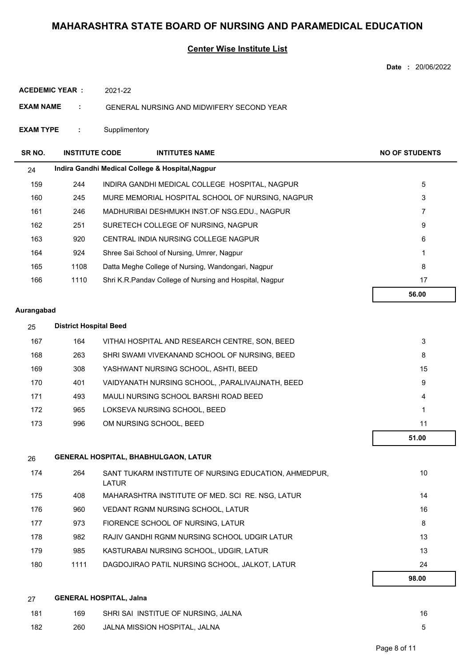#### **Center Wise Institute List**

| <b>EXAM NAME</b>   | ÷                     | GENERAL NURSING AND MIDWIFERY SECOND YEAR                |                       |
|--------------------|-----------------------|----------------------------------------------------------|-----------------------|
| <b>EXAM TYPE</b>   | ÷                     | Supplimentory                                            |                       |
| SR <sub>NO</sub> . | <b>INSTITUTE CODE</b> | <b>INTITUTES NAME</b>                                    | <b>NO OF STUDENTS</b> |
| 24                 |                       | Indira Gandhi Medical College & Hospital, Nagpur         |                       |
| 159                | 244                   | INDIRA GANDHI MEDICAL COLLEGE HOSPITAL, NAGPUR           | 5                     |
| 160                | 245                   | MURE MEMORIAL HOSPITAL SCHOOL OF NURSING, NAGPUR         | 3                     |
| 161                | 246                   | MADHURIBAI DESHMUKH INST.OF NSG.EDU., NAGPUR             | 7                     |
| 162                | 251                   | SURETECH COLLEGE OF NURSING, NAGPUR                      | 9                     |
| 163                | 920                   | CENTRAL INDIA NURSING COLLEGE NAGPUR                     | 6                     |
| 164                | 924                   | Shree Sai School of Nursing, Umrer, Nagpur               | 1                     |
| 165                | 1108                  | Datta Meghe College of Nursing, Wandongari, Nagpur       | 8                     |
| 166                | 1110                  | Shri K.R. Pandav College of Nursing and Hospital, Nagpur | 17                    |
|                    |                       |                                                          | 56.00                 |

#### **Aurangabad**

**ACEDEMIC YEAR :**

2021-22

| 25  | <b>District Hospital Beed</b> |                                                   |       |  |
|-----|-------------------------------|---------------------------------------------------|-------|--|
| 167 | 164                           | VITHAI HOSPITAL AND RESEARCH CENTRE, SON, BEED    | 3     |  |
| 168 | 263                           | SHRI SWAMI VIVEKANAND SCHOOL OF NURSING. BEED     | 8     |  |
| 169 | 308                           | YASHWANT NURSING SCHOOL, ASHTI, BEED              | 15    |  |
| 170 | 401                           | VAIDYANATH NURSING SCHOOL, , PARALIVAIJNATH, BEED | 9     |  |
| 171 | 493                           | MAULI NURSING SCHOOL BARSHI ROAD BEED             | 4     |  |
| 172 | 965                           | LOKSEVA NURSING SCHOOL, BEED                      |       |  |
| 173 | 996                           | OM NURSING SCHOOL, BEED                           | 11    |  |
|     |                               |                                                   | 51.00 |  |

| 26  | <b>GENERAL HOSPITAL, BHABHULGAON, LATUR</b> |                                                                |       |  |  |
|-----|---------------------------------------------|----------------------------------------------------------------|-------|--|--|
| 174 | 264                                         | SANT TUKARM INSTITUTE OF NURSING EDUCATION, AHMEDPUR,<br>LATUR | 10    |  |  |
| 175 | 408                                         | MAHARASHTRA INSTITUTE OF MED. SCI RE. NSG, LATUR               | 14    |  |  |
| 176 | 960                                         | <b>VEDANT RGNM NURSING SCHOOL, LATUR</b>                       | 16    |  |  |
| 177 | 973                                         | FIORENCE SCHOOL OF NURSING, LATUR                              | 8     |  |  |
| 178 | 982                                         | RAJIV GANDHI RGNM NURSING SCHOOL UDGIR LATUR                   | 13    |  |  |
| 179 | 985                                         | KASTURABAI NURSING SCHOOL. UDGIR. LATUR                        | 13    |  |  |
| 180 | 1111                                        | DAGDOJIRAO PATIL NURSING SCHOOL, JALKOT, LATUR                 | 24    |  |  |
|     |                                             |                                                                | 98.00 |  |  |

| 27  | <b>GENERAL HOSPITAL, Jalna</b> |                                     |    |
|-----|--------------------------------|-------------------------------------|----|
| 181 | 169                            | SHRI SAI INSTITUE OF NURSING, JALNA | 16 |
| 182 | 260                            | JALNA MISSION HOSPITAL, JALNA       |    |

**Date :** 20/06/2022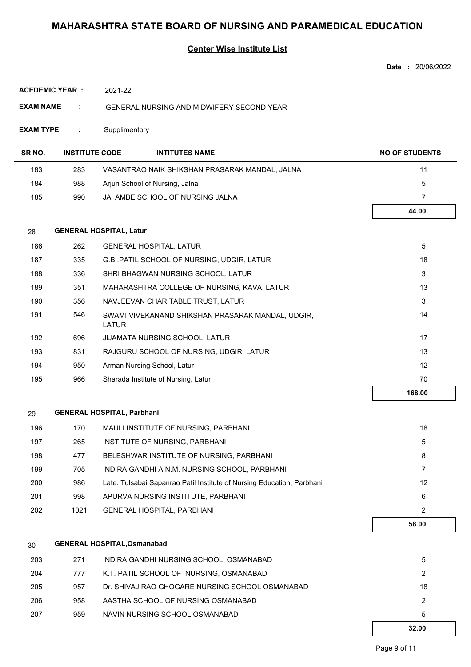#### **Center Wise Institute List**

|                       |                       |                                                                         | Date: 20/06/2022      |  |
|-----------------------|-----------------------|-------------------------------------------------------------------------|-----------------------|--|
| <b>ACEDEMIC YEAR:</b> |                       | 2021-22                                                                 |                       |  |
| <b>EXAM NAME</b>      | ÷                     | GENERAL NURSING AND MIDWIFERY SECOND YEAR                               |                       |  |
| <b>EXAM TYPE</b>      | ÷                     | Supplimentory                                                           |                       |  |
| SR NO.                | <b>INSTITUTE CODE</b> | <b>INTITUTES NAME</b>                                                   | <b>NO OF STUDENTS</b> |  |
| 183                   | 283                   | VASANTRAO NAIK SHIKSHAN PRASARAK MANDAL, JALNA                          | 11                    |  |
| 184                   | 988                   | Arjun School of Nursing, Jalna                                          | 5                     |  |
| 185                   | 990                   | JAI AMBE SCHOOL OF NURSING JALNA                                        | 7                     |  |
|                       |                       |                                                                         | 44.00                 |  |
| 28                    |                       | <b>GENERAL HOSPITAL, Latur</b>                                          |                       |  |
| 186                   | 262                   | <b>GENERAL HOSPITAL, LATUR</b>                                          | 5                     |  |
| 187                   | 335                   | G.B. PATIL SCHOOL OF NURSING, UDGIR, LATUR                              | 18                    |  |
| 188                   | 336                   | SHRI BHAGWAN NURSING SCHOOL, LATUR                                      | 3                     |  |
| 189                   | 351                   | MAHARASHTRA COLLEGE OF NURSING, KAVA, LATUR                             | 13                    |  |
| 190                   | 356                   | NAVJEEVAN CHARITABLE TRUST, LATUR                                       | 3                     |  |
| 191                   | 546                   | 14<br>SWAMI VIVEKANAND SHIKSHAN PRASARAK MANDAL, UDGIR,<br><b>LATUR</b> |                       |  |
| 192                   | 696                   | JIJAMATA NURSING SCHOOL, LATUR                                          |                       |  |
| 193                   | 831                   | RAJGURU SCHOOL OF NURSING, UDGIR, LATUR                                 | 13                    |  |
| 194                   | 950                   | Arman Nursing School, Latur                                             | 12                    |  |
| 195                   | 966                   | Sharada Institute of Nursing, Latur                                     | 70                    |  |
|                       |                       |                                                                         | 168.00                |  |
| 29                    |                       | <b>GENERAL HOSPITAL, Parbhani</b>                                       |                       |  |
| 196                   | 170                   | MAULI INSTITUTE OF NURSING, PARBHANI                                    | 18                    |  |
| 197                   | 265                   | INSTITUTE OF NURSING, PARBHANI                                          | 5                     |  |
| 198                   | 477                   | BELESHWAR INSTITUTE OF NURSING, PARBHANI                                | 8                     |  |
| 199                   | 705                   | INDIRA GANDHI A.N.M. NURSING SCHOOL, PARBHANI                           | $\overline{7}$        |  |
| 200                   | 986                   | Late. Tulsabai Sapanrao Patil Institute of Nursing Education, Parbhani  | 12                    |  |
| 201                   | 998                   | APURVA NURSING INSTITUTE, PARBHANI                                      | 6                     |  |
| 202                   | 1021                  | GENERAL HOSPITAL, PARBHANI                                              | $\overline{2}$        |  |
|                       |                       |                                                                         | 58.00                 |  |
| 30                    |                       | <b>GENERAL HOSPITAL, Osmanabad</b>                                      |                       |  |
| 203                   | 271                   | INDIRA GANDHI NURSING SCHOOL, OSMANABAD                                 | 5                     |  |
| 204                   | 777                   | K.T. PATIL SCHOOL OF NURSING, OSMANABAD                                 | 2                     |  |
| 205                   | 957                   | Dr. SHIVAJIRAO GHOGARE NURSING SCHOOL OSMANABAD                         | 18                    |  |

206 958 AASTHA SCHOOL OF NURSING OSMANABAD 2 207 959 NAVIN NURSING SCHOOL OSMANABAD 5

 **32.00**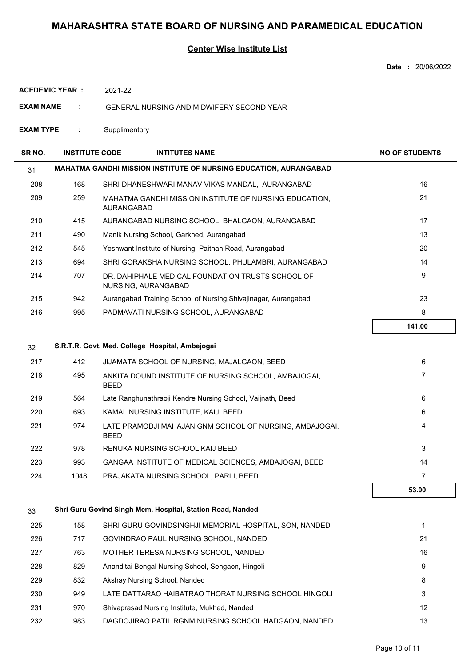### **Center Wise Institute List**

| Date | 20/06/2022 |
|------|------------|
|      |            |

**ACEDEMIC YEAR :** 2021-22

**EXAM NAME :** GENERAL NURSING AND MIDWIFERY SECOND YEAR

33 **Shri Guru Govind Singh Mem. Hospital, Station Road, Nanded**

**EXAM TYPE :** Supplimentory

| SR NO. | <b>INSTITUTE CODE</b> |                   | <b>INTITUTES NAME</b>                                                    | <b>NO OF STUDENTS</b> |
|--------|-----------------------|-------------------|--------------------------------------------------------------------------|-----------------------|
| 31     |                       |                   | <b>MAHATMA GANDHI MISSION INSTITUTE OF NURSING EDUCATION, AURANGABAD</b> |                       |
| 208    | 168                   |                   | SHRI DHANESHWARI MANAV VIKAS MANDAL, AURANGABAD                          | 16                    |
| 209    | 259                   | <b>AURANGABAD</b> | MAHATMA GANDHI MISSION INSTITUTE OF NURSING EDUCATION,                   | 21                    |
| 210    | 415                   |                   | AURANGABAD NURSING SCHOOL, BHALGAON, AURANGABAD                          | 17                    |
| 211    | 490                   |                   | Manik Nursing School, Garkhed, Aurangabad                                | 13                    |
| 212    | 545                   |                   | Yeshwant Institute of Nursing, Paithan Road, Aurangabad                  | 20                    |
| 213    | 694                   |                   | SHRI GORAKSHA NURSING SCHOOL, PHULAMBRI, AURANGABAD                      | 14                    |
| 214    | 707                   |                   | DR. DAHIPHALE MEDICAL FOUNDATION TRUSTS SCHOOL OF<br>NURSING, AURANGABAD | 9                     |
| 215    | 942                   |                   | Aurangabad Training School of Nursing, Shivajinagar, Aurangabad          | 23                    |
| 216    | 995                   |                   | PADMAVATI NURSING SCHOOL, AURANGABAD                                     | 8                     |
|        |                       |                   |                                                                          | 141.00                |
| 32     |                       |                   | S.R.T.R. Govt. Med. College Hospital, Ambejogai                          |                       |
| 217    | 412                   |                   | JIJAMATA SCHOOL OF NURSING, MAJALGAON, BEED                              | 6                     |
| 218    | 495                   |                   | ANKITA DOUND INSTITUTE OF NURSING SCHOOL, AMBAJOGAI,                     | 7                     |

|     |      | <b>BEED</b>                                                            |    |
|-----|------|------------------------------------------------------------------------|----|
| 219 | 564  | Late Ranghunathraoji Kendre Nursing School, Vaijnath, Beed             | 6  |
| 220 | 693  | KAMAL NURSING INSTITUTE, KAIJ, BEED                                    | 6  |
| 221 | 974  | LATE PRAMODJI MAHAJAN GNM SCHOOL OF NURSING, AMBAJOGAI.<br><b>BEED</b> | 4  |
| 222 | 978  | RENUKA NURSING SCHOOL KAIJ BEED                                        | 3  |
| 223 | 993  | GANGAA INSTITUTE OF MEDICAL SCIENCES, AMBAJOGAI, BEED                  | 14 |
| 224 | 1048 | PRAJAKATA NURSING SCHOOL. PARLI. BEED                                  |    |

| 53.00 |
|-------|
|       |
|       |

| 225 | 158 | SHRI GURU GOVINDSINGHJI MEMORIAL HOSPITAL, SON, NANDED |    |
|-----|-----|--------------------------------------------------------|----|
| 226 | 717 | GOVINDRAO PAUL NURSING SCHOOL, NANDED                  | 21 |
| 227 | 763 | MOTHER TERESA NURSING SCHOOL, NANDED                   | 16 |
| 228 | 829 | Ananditai Bengal Nursing School, Sengaon, Hingoli      | 9  |
| 229 | 832 | Akshay Nursing School, Nanded                          | 8  |
| 230 | 949 | LATE DATTARAO HAIBATRAO THORAT NURSING SCHOOL HINGOLI  | 3  |
| 231 | 970 | Shivaprasad Nursing Institute, Mukhed, Nanded          | 12 |
| 232 | 983 | DAGDOJIRAO PATIL RGNM NURSING SCHOOL HADGAON. NANDED   | 13 |